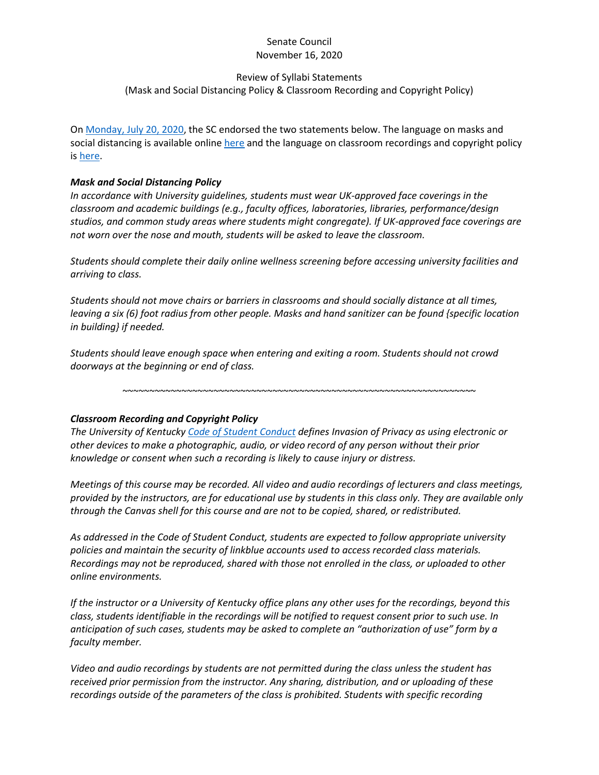## Senate Council November 16, 2020

### Review of Syllabi Statements

#### (Mask and Social Distancing Policy & Classroom Recording and Copyright Policy)

O[n Monday, July 20, 2020,](https://www.uky.edu/universitysenate/council/2020-07-20) the SC endorsed the two statements below. The language on masks and social distancing is available online [here](https://www.uky.edu/universitysenate/helpful-components-course-syllabus#Mask) and the language on classroom recordings and copyright policy is [here.](https://www.uky.edu/universitysenate/helpful-components-course-syllabus#Copyright)

## *Mask and Social Distancing Policy*

*In accordance with University guidelines, students must wear UK-approved face coverings in the classroom and academic buildings (e.g., faculty offices, laboratories, libraries, performance/design studios, and common study areas where students might congregate). If UK-approved face coverings are not worn over the nose and mouth, students will be asked to leave the classroom.*

*Students should complete their daily online wellness screening before accessing university facilities and arriving to class.*

*Students should not move chairs or barriers in classrooms and should socially distance at all times, leaving a six (6) foot radius from other people. Masks and hand sanitizer can be found {specific location in building} if needed.*

*Students should leave enough space when entering and exiting a room. Students should not crowd doorways at the beginning or end of class.*

~~~~~~~~~~~~~~~~~~~~~~~~~~~~~~~~~~~~~~~~~~~~~~~~~~~~~~~~~~~~~~~~~~

# *Classroom Recording and Copyright Policy*

*The University of Kentucky [Code of Student Conduct](https://www.uky.edu/studentconduct/code-student-conduct) defines Invasion of Privacy as using electronic or other devices to make a photographic, audio, or video record of any person without their prior knowledge or consent when such a recording is likely to cause injury or distress.*

*Meetings of this course may be recorded. All video and audio recordings of lecturers and class meetings, provided by the instructors, are for educational use by students in this class only. They are available only through the Canvas shell for this course and are not to be copied, shared, or redistributed.*

*As addressed in the Code of Student Conduct, students are expected to follow appropriate university policies and maintain the security of linkblue accounts used to access recorded class materials. Recordings may not be reproduced, shared with those not enrolled in the class, or uploaded to other online environments.*

*If the instructor or a University of Kentucky office plans any other uses for the recordings, beyond this class, students identifiable in the recordings will be notified to request consent prior to such use. In anticipation of such cases, students may be asked to complete an "authorization of use" form by a faculty member.*

*Video and audio recordings by students are not permitted during the class unless the student has received prior permission from the instructor. Any sharing, distribution, and or uploading of these recordings outside of the parameters of the class is prohibited. Students with specific recording*